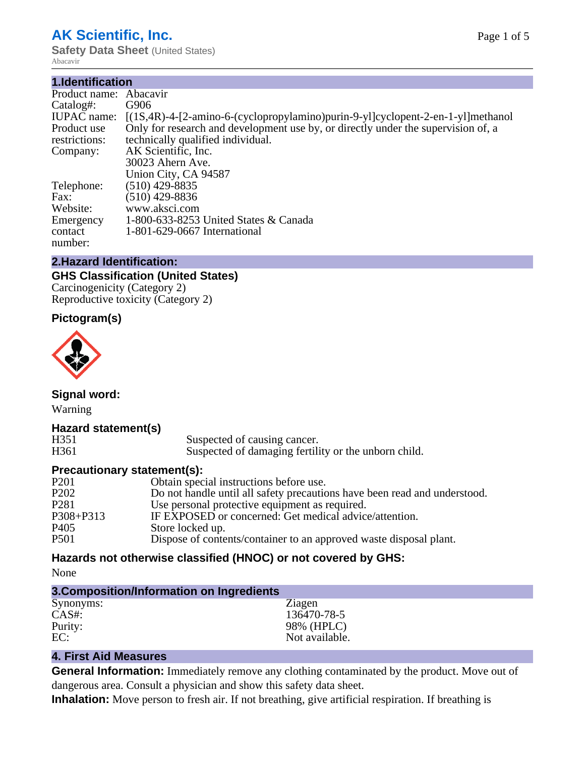# **AK Scientific, Inc.**

**1.Identification**

**Safety Data Sheet (United States)** Abacavir

| 1.Identification   |                                                                                    |
|--------------------|------------------------------------------------------------------------------------|
| Product name:      | Abacavir                                                                           |
| Catalog#:          | G906                                                                               |
| <b>IUPAC</b> name: | $[(1S,4R)-4-[2-amino-6-(cyclopropylamino)purin-9-y][cyclopent-2-en-1-y]$ ]methanol |
| Product use        | Only for research and development use by, or directly under the supervision of, a  |
| restrictions:      | technically qualified individual.                                                  |
| Company:           | AK Scientific, Inc.                                                                |
|                    | 30023 Ahern Ave.                                                                   |
|                    | Union City, CA 94587                                                               |
| Telephone:         | $(510)$ 429-8835                                                                   |
| Fax:               | $(510)$ 429-8836                                                                   |
| Website:           | www.aksci.com                                                                      |
| Emergency          | 1-800-633-8253 United States & Canada                                              |
| contact            | 1-801-629-0667 International                                                       |
| number:            |                                                                                    |

# **2.Hazard Identification:**

### **GHS Classification (United States)**

Carcinogenicity (Category 2) Reproductive toxicity (Category 2)

# **Pictogram(s)**



**Signal word:**

Warning

# **Hazard statement(s)**

| H351             | Suspected of causing cancer.                         |
|------------------|------------------------------------------------------|
| H <sub>361</sub> | Suspected of damaging fertility or the unborn child. |

# **Precautionary statement(s):**

| P <sub>201</sub> | Obtain special instructions before use.                                   |
|------------------|---------------------------------------------------------------------------|
| P <sub>202</sub> | Do not handle until all safety precautions have been read and understood. |
| P <sub>281</sub> | Use personal protective equipment as required.                            |
| P308+P313        | IF EXPOSED or concerned: Get medical advice/attention.                    |
| P <sub>405</sub> | Store locked up.                                                          |
| P501             | Dispose of contents/container to an approved waste disposal plant.        |
|                  |                                                                           |

# **Hazards not otherwise classified (HNOC) or not covered by GHS:**

None

| 3. Composition/Information on Ingredients |                |
|-------------------------------------------|----------------|
| Synonyms:                                 | Ziagen         |
| $CAS#$ :                                  | 136470-78-5    |
| Purity:                                   | 98% (HPLC)     |
| EC:                                       | Not available. |

# **4. First Aid Measures**

**General Information:** Immediately remove any clothing contaminated by the product. Move out of dangerous area. Consult a physician and show this safety data sheet.

**Inhalation:** Move person to fresh air. If not breathing, give artificial respiration. If breathing is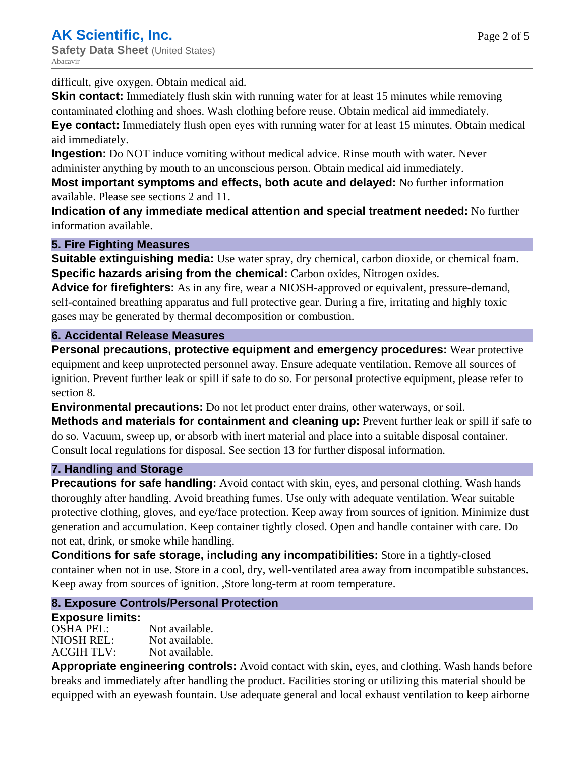difficult, give oxygen. Obtain medical aid.

**Skin contact:** Immediately flush skin with running water for at least 15 minutes while removing contaminated clothing and shoes. Wash clothing before reuse. Obtain medical aid immediately.

**Eye contact:** Immediately flush open eyes with running water for at least 15 minutes. Obtain medical aid immediately.

**Ingestion:** Do NOT induce vomiting without medical advice. Rinse mouth with water. Never administer anything by mouth to an unconscious person. Obtain medical aid immediately.

**Most important symptoms and effects, both acute and delayed:** No further information available. Please see sections 2 and 11.

**Indication of any immediate medical attention and special treatment needed:** No further information available.

# **5. Fire Fighting Measures**

**Suitable extinguishing media:** Use water spray, dry chemical, carbon dioxide, or chemical foam. **Specific hazards arising from the chemical:** Carbon oxides, Nitrogen oxides.

**Advice for firefighters:** As in any fire, wear a NIOSH-approved or equivalent, pressure-demand, self-contained breathing apparatus and full protective gear. During a fire, irritating and highly toxic gases may be generated by thermal decomposition or combustion.

# **6. Accidental Release Measures**

**Personal precautions, protective equipment and emergency procedures:** Wear protective equipment and keep unprotected personnel away. Ensure adequate ventilation. Remove all sources of ignition. Prevent further leak or spill if safe to do so. For personal protective equipment, please refer to section 8.

**Environmental precautions:** Do not let product enter drains, other waterways, or soil.

**Methods and materials for containment and cleaning up:** Prevent further leak or spill if safe to do so. Vacuum, sweep up, or absorb with inert material and place into a suitable disposal container. Consult local regulations for disposal. See section 13 for further disposal information.

# **7. Handling and Storage**

**Precautions for safe handling:** Avoid contact with skin, eyes, and personal clothing. Wash hands thoroughly after handling. Avoid breathing fumes. Use only with adequate ventilation. Wear suitable protective clothing, gloves, and eye/face protection. Keep away from sources of ignition. Minimize dust generation and accumulation. Keep container tightly closed. Open and handle container with care. Do not eat, drink, or smoke while handling.

**Conditions for safe storage, including any incompatibilities:** Store in a tightly-closed container when not in use. Store in a cool, dry, well-ventilated area away from incompatible substances. Keep away from sources of ignition. ,Store long-term at room temperature.

# **8. Exposure Controls/Personal Protection**

#### **Exposure limits:**

| OSHA PEL:         | Not available. |
|-------------------|----------------|
| NIOSH REL:        | Not available. |
| <b>ACGIH TLV:</b> | Not available. |

**Appropriate engineering controls:** Avoid contact with skin, eyes, and clothing. Wash hands before breaks and immediately after handling the product. Facilities storing or utilizing this material should be equipped with an eyewash fountain. Use adequate general and local exhaust ventilation to keep airborne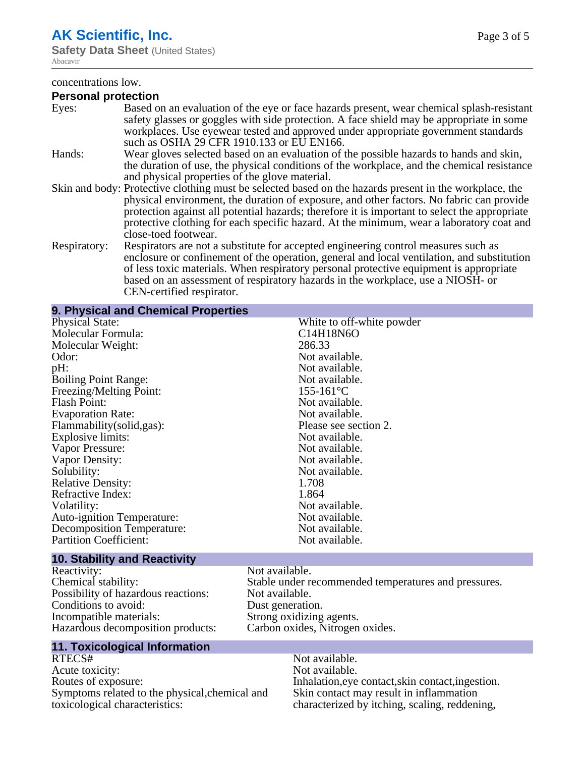# **AK Scientific, Inc.**

**Safety Data Sheet** (United States) Abacavir

#### concentrations low.

#### **Personal protection**

| Eyes:        | Based on an evaluation of the eye or face hazards present, wear chemical splash-resistant<br>safety glasses or goggles with side protection. A face shield may be appropriate in some<br>workplaces. Use eyewear tested and approved under appropriate government standards<br>such as OSHA 29 CFR 1910.133 or EU EN166.                                                                                                |
|--------------|-------------------------------------------------------------------------------------------------------------------------------------------------------------------------------------------------------------------------------------------------------------------------------------------------------------------------------------------------------------------------------------------------------------------------|
| Hands:       | Wear gloves selected based on an evaluation of the possible hazards to hands and skin,<br>the duration of use, the physical conditions of the workplace, and the chemical resistance<br>and physical properties of the glove material.                                                                                                                                                                                  |
|              | Skin and body: Protective clothing must be selected based on the hazards present in the workplace, the<br>physical environment, the duration of exposure, and other factors. No fabric can provide<br>protection against all potential hazards; therefore it is important to select the appropriate<br>protective clothing for each specific hazard. At the minimum, wear a laboratory coat and<br>close-toed footwear. |
| Respiratory: | Respirators are not a substitute for accepted engineering control measures such as<br>enclosure or confinement of the operation, general and local ventilation, and substitution<br>of less toxic materials. When respiratory personal protective equipment is appropriate<br>based on an assessment of respiratory hazards in the workplace, use a NIOSH- or<br>CEN-certified respirator.                              |

#### **9. Physical and Chemical Properties**

| <b>Physical State:</b>            | White to off-white powder |
|-----------------------------------|---------------------------|
| Molecular Formula:                | C14H18N6O                 |
| Molecular Weight:                 | 286.33                    |
| Odor:                             | Not available.            |
| pH:                               | Not available.            |
| <b>Boiling Point Range:</b>       | Not available.            |
| Freezing/Melting Point:           | $155 - 161$ °C            |
| Flash Point:                      | Not available.            |
| <b>Evaporation Rate:</b>          | Not available.            |
| Flammability(solid,gas):          | Please see section 2.     |
| Explosive limits:                 | Not available.            |
| Vapor Pressure:                   | Not available.            |
| Vapor Density:                    | Not available.            |
| Solubility:                       | Not available.            |
| <b>Relative Density:</b>          | 1.708                     |
| Refractive Index:                 | 1.864                     |
| Volatility:                       | Not available.            |
| <b>Auto-ignition Temperature:</b> | Not available.            |
| Decomposition Temperature:        | Not available.            |
| <b>Partition Coefficient:</b>     | Not available.            |
|                                   |                           |

# **10. Stability and Reactivity**

Reactivity: Not available.<br>
Chemical stability: Stable under re Possibility of hazardous reactions: Not available.<br>
Conditions to avoid: Dust generation. Conditions to avoid:<br>Incompatible materials: Hazardous decomposition products:

Stable under recommended temperatures and pressures.<br>Not available. Strong oxidizing agents.<br>Carbon oxides, Nitrogen oxides.

# **11. Toxicological Information**

RTECS# Not available.<br>Acute toxicity: Not available. Acute toxicity: Routes of exposure: Inhalation,eye contact,skin contact,ingestion. Symptoms related to the physical,chemical and toxicological characteristics:

Skin contact may result in inflammation characterized by itching, scaling, reddening,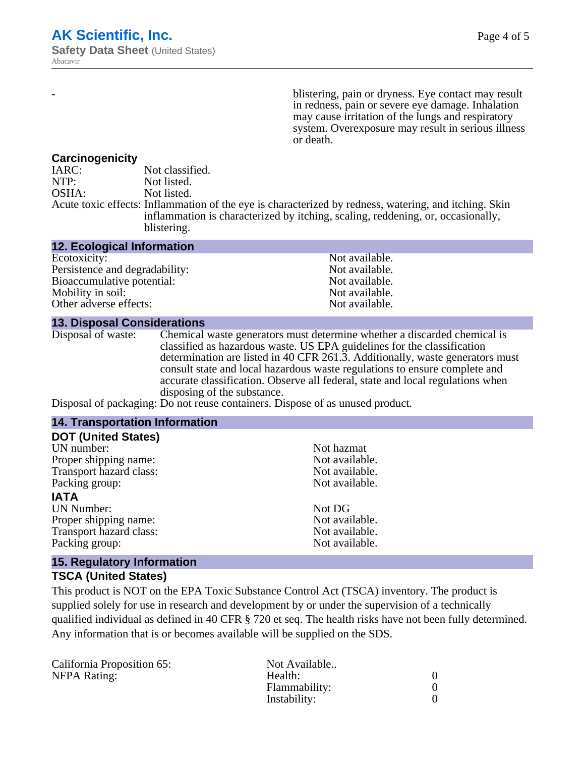blistering, pain or dryness. Eye contact may result in redness, pain or severe eye damage. Inhalation may cause irritation of the lungs and respiratory system. Overexposure may result in serious illness or death.

#### **Carcinogenicity**

IARC: Not classified. NTP:<br>
OSHA: Not listed.<br>
Not listed. Not listed. Acute toxic effects: Inflammation of the eye is characterized by redness, watering, and itching. Skin inflammation is characterized by itching, scaling, reddening, or, occasionally, blistering.

| <b>12. Ecological Information</b> |                |
|-----------------------------------|----------------|
| Ecotoxicity:                      | Not available. |
| Persistence and degradability:    | Not available. |
| Bioaccumulative potential:        | Not available. |
| Mobility in soil:                 | Not available. |
| Other adverse effects:            | Not available. |

#### **13. Disposal Considerations**

Disposal of waste: Chemical waste generators must determine whether a discarded chemical is classified as hazardous waste. US EPA guidelines for the classification determination are listed in 40 CFR 261.3. Additionally, waste generators must consult state and local hazardous waste regulations to ensure complete and accurate classification. Observe all federal, state and local regulations when disposing of the substance.

Disposal of packaging: Do not reuse containers. Dispose of as unused product.

#### **14. Transportation Information**

| <b>DOT (United States)</b> |                |
|----------------------------|----------------|
| UN number:                 | Not hazmat     |
| Proper shipping name:      | Not available. |
| Transport hazard class:    | Not available. |
| Packing group:             | Not available. |
| IATA                       |                |
| <b>UN Number:</b>          | Not DG         |
| Proper shipping name:      | Not available. |
| Transport hazard class:    | Not available. |
| Packing group:             | Not available. |

#### **15. Regulatory Information**

#### **TSCA (United States)**

This product is NOT on the EPA Toxic Substance Control Act (TSCA) inventory. The product is supplied solely for use in research and development by or under the supervision of a technically qualified individual as defined in 40 CFR § 720 et seq. The health risks have not been fully determined. Any information that is or becomes available will be supplied on the SDS.

| California Proposition 65: | Not Available |  |
|----------------------------|---------------|--|
| NFPA Rating:               | Health:       |  |
|                            | Flammability: |  |
|                            | Instability:  |  |